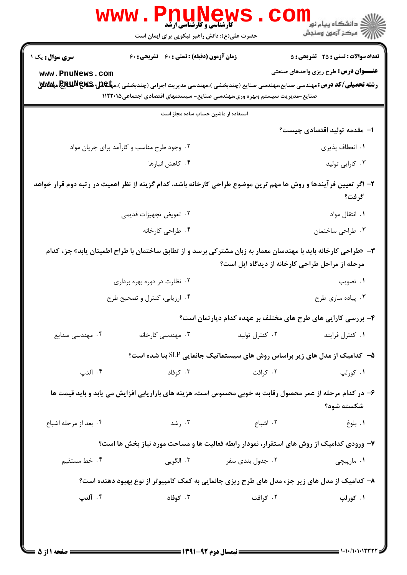| www .                                                                                                                                                            | нщ<br><b>V L L ULLY SE W</b><br>کارشناسی و کارشناسی ارشد<br>حضرت علی(ع): دانش راهبر نیکویی برای ایمان است                                                                                                             |                  | ڪ دانشڪاه پيا <sub>م</sub> نور<br>7 مرڪز آزمون وسنڊش         |
|------------------------------------------------------------------------------------------------------------------------------------------------------------------|-----------------------------------------------------------------------------------------------------------------------------------------------------------------------------------------------------------------------|------------------|--------------------------------------------------------------|
| <b>سری سوال :</b> یک ۱                                                                                                                                           | زمان آزمون (دقیقه) : تستی : 60 ٪ تشریحی : 60                                                                                                                                                                          |                  | <b>تعداد سوالات : تستی : 25 ۔ تشریحی : 5</b>                 |
| www.PnuNews.com                                                                                                                                                  | <b>رشته تحصیلی/کد درس:</b> مهندسی صنایع،مهندسی صنایع (چندبخشی )،مهندسی مدیریت اجرایی (چندبخشی )،م <b>پلکلیا چینج للیایا چیکلاللای</b> ع<br>صنایع-مدیریت سیستم وبهره وری،مهندسی صنایع- سیستمهای اقتصادی اجتماعی۱۱۲۲۰۱۵ |                  | <b>عنـــوان درس:</b> طرح ریزی واحدهای صنعتی                  |
|                                                                                                                                                                  | استفاده از ماشین حساب ساده مجاز است                                                                                                                                                                                   |                  |                                                              |
|                                                                                                                                                                  |                                                                                                                                                                                                                       |                  | ۱– مقدمه تولید اقتصادی چیست؟                                 |
|                                                                                                                                                                  | ۰۲ وجود طرح مناسب و کارآمد برای جریان مواد                                                                                                                                                                            |                  | ۰۱ انعطاف پذیری                                              |
| ۰۴ کاهش انبارها                                                                                                                                                  |                                                                                                                                                                                                                       |                  | ۰۳ کارایی تولید                                              |
| ۲– اگر تعیین فر آیندها و روش ها مهم ترین موضوع طراحی کارخانه باشد، کدام گزینه از نظر اهمیت در رتبه دوم قرار خواهد<br>گرفت؟                                       |                                                                                                                                                                                                                       |                  |                                                              |
|                                                                                                                                                                  | ۰۲ تعویض تجهیزات قدیمی                                                                                                                                                                                                |                  | ۰۱ انتقال مواد                                               |
|                                                                                                                                                                  | ۰۴ طراحی کارخانه                                                                                                                                                                                                      |                  | ۰۳ طراحي ساختمان                                             |
| ۳- «طراحی کارخانه باید با مهندسان معمار به زبان مشترکی برسد و از تطابق ساختمان با طراح اطمینان یابد» جزء کدام<br>مرحله از مراحل طراحی کارخانه از دیدگاه اپل است؟ |                                                                                                                                                                                                                       |                  |                                                              |
|                                                                                                                                                                  | ۰۲ نظارت در دوره بهره برداری                                                                                                                                                                                          |                  | ۰۱ تصویب                                                     |
|                                                                                                                                                                  | ۰۴ ارزیابی، کنترل و تصحیح طرح                                                                                                                                                                                         |                  | ۰۳ پیاده سازی طرح                                            |
|                                                                                                                                                                  |                                                                                                                                                                                                                       |                  | ۴- بررسی کارایی های طرح های مختلف بر عهده کدام دپارتمان است؟ |
| ۰۴ مهندسی صنایع                                                                                                                                                  | ۰۳ مهندسی کارخانه                                                                                                                                                                                                     | ۰۲ کنترل تولید   | ٠١ كنترل فرايند                                              |
|                                                                                                                                                                  | ۵− کدامیک از مدل های زیر براساس روش های سیستماتیک جانمایی SLP بنا شده است؟                                                                                                                                            |                  |                                                              |
| ۰۴ آلدپ                                                                                                                                                          | ۰۳ کوفاد                                                                                                                                                                                                              | ۰۲ کرافت         | ۰۱ کورلپ                                                     |
| ۶– در کدام مرحله از عمر محصول رقابت به خوبی محسوس است، هزینه های بازاریابی افزایش می یابد و باید قیمت ها<br>شكسته شود؟                                           |                                                                                                                                                                                                                       |                  |                                                              |
| ۰۴ بعد از مرحله اشباع                                                                                                                                            | ۰۳ رشد                                                                                                                                                                                                                | ۰۲ اشباع         | ٠١ بلوغ                                                      |
|                                                                                                                                                                  | ۷- ورودی کدامیک از روش های استقرار، نمودار رابطه فعالیت ها و مساحت مورد نیاز بخش ها است؟                                                                                                                              |                  |                                                              |
| ۰۴ خط مستقیم                                                                                                                                                     | ۰۳ الگویی                                                                                                                                                                                                             | ۰۲ جدول بندی سفر | ۰۱ مارپیچی                                                   |
| ۸– کدامیک از مدل های زیر جزء مدل های طرح ریزی جانمایی به کمک کامپیوتر از نوع بهبود دهنده است؟                                                                    |                                                                                                                                                                                                                       |                  |                                                              |
| ۰۴ آلدپ                                                                                                                                                          | ۰۳ کوفاد                                                                                                                                                                                                              | ۰۲ کرافت         | ۰۱ کورلپ                                                     |
|                                                                                                                                                                  | <b>ـــــــ ن</b> مسال دوم ۹۲-۱۳۹۱ ـــــــ                                                                                                                                                                             |                  |                                                              |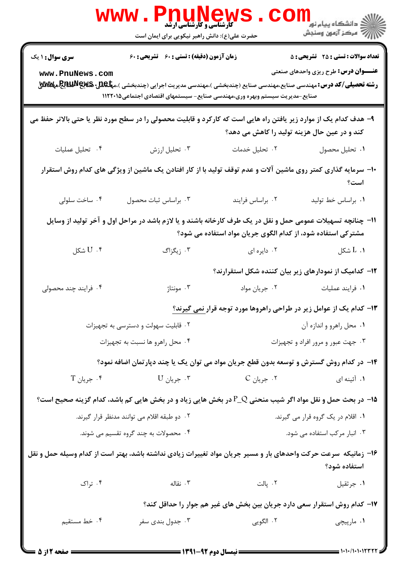|                                                                                                                                                                             | ヒ」<br><b>M کے LI ULINE 2</b><br>کارشناسی و کارشناسی ارشد<br>حضرت علی(ع): دانش راهبر نیکویی برای ایمان است                                                                                                                  |                                                                                                                                                                                                                                                                                                                     | لاد دانشگاه پيام نور دا<br>الا               |
|-----------------------------------------------------------------------------------------------------------------------------------------------------------------------------|----------------------------------------------------------------------------------------------------------------------------------------------------------------------------------------------------------------------------|---------------------------------------------------------------------------------------------------------------------------------------------------------------------------------------------------------------------------------------------------------------------------------------------------------------------|----------------------------------------------|
| <b>سری سوال : ۱ یک</b>                                                                                                                                                      | زمان آزمون (دقیقه) : تستی : 60 ٪ تشریحی : 60                                                                                                                                                                               |                                                                                                                                                                                                                                                                                                                     | <b>تعداد سوالات : تستي : 25 - تشریحي : 5</b> |
| www.PnuNews.com                                                                                                                                                             | <b>رشته تحصیلی/کد درس:</b> مهندسی صنایع،مهندسی صنایع (چندبخشی )،مهندسی مدیریت اجرایی (چندبخشی )،م <b>پلکللی گیلایالیاچگ</b> هه <b>کلاللا</b><br>صنایع-مدیریت سیستم وبهره وری،مهندسی صنایع- سیستمهای اقتصادی اجتماعی۱۱۲۲۰۱۵ |                                                                                                                                                                                                                                                                                                                     | <b>عنـــوان درس:</b> طرح ریزی واحدهای صنعتی  |
|                                                                                                                                                                             | ۹- هدف کدام یک از موارد زیر یافتن راه هایی است که کارکرد و قابلیت محصولی را در سطح مورد نظر یا حتی بالاتر حفظ می                                                                                                           | کند و در عین حال هزینه تولید را کاهش می دهد؟                                                                                                                                                                                                                                                                        |                                              |
| ۰۴ تحليل عمليات                                                                                                                                                             | ۰۳ تحلیل ارزش                                                                                                                                                                                                              | ٠٢ تحليل خدمات                                                                                                                                                                                                                                                                                                      | ٠١. تحليل محصول                              |
| ∙ا− سرمایه گذاری کمتر روی ماشین آلات و عدم توقف تولید با از کار افتادن یک ماشین از ویژگی های کدام روش استقرار<br>است؟                                                       |                                                                                                                                                                                                                            |                                                                                                                                                                                                                                                                                                                     |                                              |
| ۰۴ ساخت سلولی                                                                                                                                                               | ۰۳ براساس ثبات محصول                                                                                                                                                                                                       | ٠٢ براساس فرايند                                                                                                                                                                                                                                                                                                    | ٠١. براساس خط توليد                          |
| 1۱– چنانچه تسهیلات عمومی حمل و نقل در یک طرف کارخانه باشند و یا لازم باشد در مراحل اول و آخر تولید از وسایل<br>مشترکی استفاده شود، از کدام الگوی جریان مواد استفاده می شود؟ |                                                                                                                                                                                                                            |                                                                                                                                                                                                                                                                                                                     |                                              |
| $U \cdot f$ شكل                                                                                                                                                             | ۰۳ زیگزاگ                                                                                                                                                                                                                  | ۰۲ دایره ای                                                                                                                                                                                                                                                                                                         | $L \cdot I$ شكل                              |
|                                                                                                                                                                             |                                                                                                                                                                                                                            | ۱۲– کدامیک از نمودارهای زیر بیان کننده شکل استقرارند؟                                                                                                                                                                                                                                                               |                                              |
| ۰۴ فرایند چند محصولی                                                                                                                                                        | ۰۳ مونتاژ                                                                                                                                                                                                                  | ۰۲ جريان مواد                                                                                                                                                                                                                                                                                                       | ٠١ فرايند عمليات                             |
|                                                                                                                                                                             |                                                                                                                                                                                                                            | ۱۳- کدام یک از عوامل زیر در طراحی راهروها مورد توجه قرار <u>نمی گیرند؟</u>                                                                                                                                                                                                                                          |                                              |
|                                                                                                                                                                             | ۰۲ قابلیت سهولت و دسترسی به تجهیزات                                                                                                                                                                                        |                                                                                                                                                                                                                                                                                                                     | ۰۱ محل راهرو و اندازه آن                     |
|                                                                                                                                                                             | ۰۴ محل راهرو ها نسبت به تجهيزات                                                                                                                                                                                            |                                                                                                                                                                                                                                                                                                                     | ۰۳ جهت عبور و مرور افراد و تجهیزات           |
|                                                                                                                                                                             | ۱۴– در کدام روش گسترش و توسعه بدون قطع جریان مواد می توان یک یا چند دپارتمان اضافه نمود؟                                                                                                                                   |                                                                                                                                                                                                                                                                                                                     |                                              |
| $T$ جريان $\cdot$                                                                                                                                                           | $\mathrm{U}$ جريان $\cdot$ *                                                                                                                                                                                               | ۰۲ جریان C                                                                                                                                                                                                                                                                                                          | ۰۱ آئینه ای                                  |
|                                                                                                                                                                             | 15 در بحث حمل و نقل مواد اگر شیب منحنی P_Q در بخش هایی زیاد و در بخش هایی کم باشد، کدام گزینه صحیح است؟                                                                                                                    |                                                                                                                                                                                                                                                                                                                     |                                              |
|                                                                                                                                                                             | ۰۲ دو طبقه اقلام می توانند مدنظر قرار گیرند.                                                                                                                                                                               |                                                                                                                                                                                                                                                                                                                     | ۰۱ اقلام در یک گروه قرار می گیرند.           |
|                                                                                                                                                                             | ۰۴ محصولات به چند گروه تقسیم می شوند.                                                                                                                                                                                      |                                                                                                                                                                                                                                                                                                                     | ۰۳ انبار مرکب استفاده می شود.                |
|                                                                                                                                                                             | ۱۶– زمانیکه ًسرعت حرکت واحدهای بار و مسیر جریان مواد تغییرات زیادی نداشته باشد، بهتر است از کدام وسیله حمل و نقل                                                                                                           |                                                                                                                                                                                                                                                                                                                     | استفاده شود؟                                 |
| ۰۴ تراک                                                                                                                                                                     | ۰۳ نقاله                                                                                                                                                                                                                   | ۲ . پالت                                                                                                                                                                                                                                                                                                            | ٠١. جرثقيل                                   |
| ۱۷– کدام روش استقرار سعی دارد جریان بین بخش های غیر هم جوار را حداقل کند؟                                                                                                   |                                                                                                                                                                                                                            |                                                                                                                                                                                                                                                                                                                     |                                              |
| ۰۴ خط مستقیم                                                                                                                                                                | ۰۳ جدول بندی سفر                                                                                                                                                                                                           | ۰۲ الگویی                                                                                                                                                                                                                                                                                                           | ۰۱ مارپیچی                                   |
|                                                                                                                                                                             |                                                                                                                                                                                                                            | $\frac{1}{2}$ $\frac{1}{2}$ $\frac{1}{2}$ $\frac{1}{2}$ $\frac{1}{2}$ $\frac{1}{2}$ $\frac{1}{2}$ $\frac{1}{2}$ $\frac{1}{2}$ $\frac{1}{2}$ $\frac{1}{2}$ $\frac{1}{2}$ $\frac{1}{2}$ $\frac{1}{2}$ $\frac{1}{2}$ $\frac{1}{2}$ $\frac{1}{2}$ $\frac{1}{2}$ $\frac{1}{2}$ $\frac{1}{2}$ $\frac{1}{2}$ $\frac{1}{2}$ |                                              |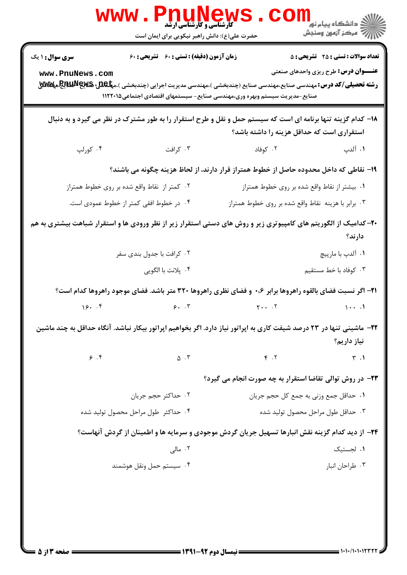|                                                                                                                                                            | w w w<br><b>کارشناسی و کارشناسی ارشد</b><br>حضرت علی(ع): دانش راهبر نیکویی برای ایمان است |                                                                                                                                                                                                                                         | ڪ دانشڪاه پيا <sub>م</sub> نور<br>ر <i>7</i> مرڪز آزمون وسنڊش                               |
|------------------------------------------------------------------------------------------------------------------------------------------------------------|-------------------------------------------------------------------------------------------|-----------------------------------------------------------------------------------------------------------------------------------------------------------------------------------------------------------------------------------------|---------------------------------------------------------------------------------------------|
| <b>سری سوال : ۱ یک</b>                                                                                                                                     | <b>زمان آزمون (دقیقه) : تستی : 60 ٪ تشریحی : 60</b>                                       |                                                                                                                                                                                                                                         | <b>تعداد سوالات : تستی : 25 - تشریحی : 5</b><br><b>عنـــوان درس:</b> طرح ریزی واحدهای صنعتی |
| www.PnuNews.com                                                                                                                                            |                                                                                           | <b>رشته تحصیلی/کد درس:</b> مهندسی صنایع،مهندسی صنایع (چندبخشی )،مهندسی مدیریت اجرایی (چندبخشی )،م <b>پلکللی کیلالیالیالیالیالیالیالیالیالیالیالی</b><br>.<br>صنایع-مدیریت سیستم وبهره وری،مهندسی صنایع- سیستمهای اقتصادی اجتماعی۱۱۲۲۰۱۵ |                                                                                             |
| ۱۸– کدام گزینه تنها برنامه ای است که سیستم حمل و نقل و طرح استقرار را به طور مشترک در نظر می گیرد و به دنبال<br>استقراری است که حداقل هزینه را داشته باشد؟ |                                                                                           |                                                                                                                                                                                                                                         |                                                                                             |
| ۰۴ کورلپ                                                                                                                                                   | ۰۳ کرافت                                                                                  | ۰۲ کوفاد                                                                                                                                                                                                                                | ۰۱ آلدپ                                                                                     |
|                                                                                                                                                            |                                                                                           | ۱۹– نقاطی که داخل محدوده حاصل از خطوط همتراز قرار دارند، از لحاظ هزینه چگونه می باشند؟                                                                                                                                                  |                                                                                             |
|                                                                                                                                                            | ۰۲ کمتر از  نقاط واقع شده بر روی خطوط همتراز                                              |                                                                                                                                                                                                                                         | ۰۱ بیشتر از نقاط واقع شده بر روی خطوط همتراز                                                |
|                                                                                                                                                            | ۰۴ در خطوط افقی کمتر از خطوط عمودی است.                                                   | ۰۳ برابر با هزینه نقاط واقع شده بر روی خطوط همتراز                                                                                                                                                                                      |                                                                                             |
|                                                                                                                                                            |                                                                                           | +۲- کدامیک از الگوریتم های کامپیوتری زیر و روش های دستی استقرار زیر از نظر ورودی ها و استقرار شباهت بیشتری به هم                                                                                                                        | دارند؟                                                                                      |
|                                                                                                                                                            | ۰۲ کرافت با جدول بندی سفر                                                                 |                                                                                                                                                                                                                                         | ۰۱ آلدپ با مارپیچ                                                                           |
|                                                                                                                                                            | ۰۴ پلانت با الگویی                                                                        |                                                                                                                                                                                                                                         | ۰۳ کوفاد با خط مستقیم                                                                       |
|                                                                                                                                                            |                                                                                           | <b>۲۱</b> – اگر نسبت فضای بالقوه راهروها برابر ۰،۶ و فضای نظری راهروها ۳۲۰ متر باشد. فضای موجود راهروها کدام است؟                                                                                                                       |                                                                                             |
| 15.7                                                                                                                                                       | 5.7                                                                                       |                                                                                                                                                                                                                                         | $\cdots$                                                                                    |
| ۲۲– ماشینی تنها در ۲۳ درصد شیفت کاری به اپراتور نیاز دارد. اگر بخواهیم اپراتور بیکار نباشد. آنگاه حداقل به چند ماشین<br>نياز داريم؟                        |                                                                                           |                                                                                                                                                                                                                                         |                                                                                             |
| 9.8                                                                                                                                                        | $\Delta$ . $\tilde{r}$                                                                    | Y.7                                                                                                                                                                                                                                     | $\uparrow$ .1                                                                               |
|                                                                                                                                                            |                                                                                           | <b>۲۳</b> - در روش توالی تقاضا استقرار به چه صورت انجام می گیرد؟                                                                                                                                                                        |                                                                                             |
|                                                                                                                                                            | ٠٢ حداكثر حجم جريان                                                                       |                                                                                                                                                                                                                                         | ٠١. حداقل جمع وزني به جمع كل حجم جريان                                                      |
|                                                                                                                                                            | ۰۴ حداکثر طول مراحل محصول تولید شده                                                       |                                                                                                                                                                                                                                         | ۰۳ حداقل طول مراحل محصول توليد شده                                                          |
| ۲۴- از دید کدام گزینه نقش انبارها تسهیل جریان گردش موجودی و سرمایه ها و اطمینان از گردش آنهاست؟                                                            |                                                                                           |                                                                                                                                                                                                                                         |                                                                                             |
|                                                                                                                                                            | ۰۲ مالی                                                                                   |                                                                                                                                                                                                                                         | ۰۱ لجستیک                                                                                   |
|                                                                                                                                                            | ۰۴ سيستم حمل ونقل هوشمند                                                                  |                                                                                                                                                                                                                                         | ۰۳ طراحان انبار                                                                             |
|                                                                                                                                                            |                                                                                           |                                                                                                                                                                                                                                         |                                                                                             |
|                                                                                                                                                            |                                                                                           |                                                                                                                                                                                                                                         |                                                                                             |
|                                                                                                                                                            |                                                                                           |                                                                                                                                                                                                                                         |                                                                                             |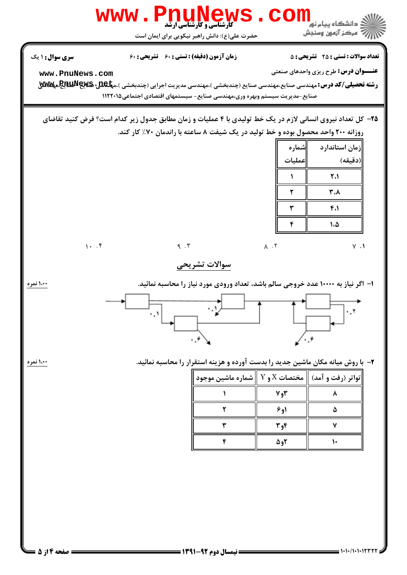|                                                                                                                                                                                                        | www.PnuNews.com<br><b>گارشناسی و کارشناسی ارشد</b><br>حضرت علی(ع): دانش راهبر نیکویی برای ایمان است                                                                                                                                                                 |                                 | <mark>ڪ دانشڪاه پيام نور</mark><br>رِ آھرڪز آزمون وسنڊش                                     |
|--------------------------------------------------------------------------------------------------------------------------------------------------------------------------------------------------------|---------------------------------------------------------------------------------------------------------------------------------------------------------------------------------------------------------------------------------------------------------------------|---------------------------------|---------------------------------------------------------------------------------------------|
| سری سوال: ۱ یک<br>www.PnuNews.com                                                                                                                                                                      | زمان آزمون (دقیقه) : تستی : 60 ٪ تشریحی : 60<br><b>رشته تحصیلی/کد درس: م</b> هندسی صنایع،مهندسی صنایع (چندبخشی )،مهندسی مدیریت اجرایی (چندبخشی )،م <b>پلیهایی چینهای پینیلاللای</b> ع<br>صنایع-مدیریت سیستم وبهره وری،مهندسی صنایع- سیستمهای اقتصادی اجتماعی۱۱۲۲۰۱۵ |                                 | <b>تعداد سوالات : تستی : 25 ۔ تشریحی : 5</b><br><b>عنـــوان درس:</b> طرح ریزی واحدهای صنعتی |
| <b>۳۵</b> - کل تعداد نیروی انسانی لازم در یک خط تولیدی با ۴ عملیات و زمان مطابق جدول زیر کدام است؟ فرض کنید تقاضای<br>روزانه ۲۰۰ واحد محصول بوده و خط تولید در یک شیفت ۸ ساعته با راندمان ۷۰٪ کار کند. |                                                                                                                                                                                                                                                                     |                                 |                                                                                             |
|                                                                                                                                                                                                        |                                                                                                                                                                                                                                                                     | شماره<br> عمليات                | زمان استاندارد<br> (دقيقه)                                                                  |
|                                                                                                                                                                                                        |                                                                                                                                                                                                                                                                     | 1                               | ٢،١                                                                                         |
|                                                                                                                                                                                                        |                                                                                                                                                                                                                                                                     | ٢                               | ۳.۸                                                                                         |
|                                                                                                                                                                                                        |                                                                                                                                                                                                                                                                     | ٣                               | 4.1                                                                                         |
|                                                                                                                                                                                                        |                                                                                                                                                                                                                                                                     | ۴                               | ۱،۵                                                                                         |
| 1.7                                                                                                                                                                                                    | $\eta$ . $\mathbf{r}$                                                                                                                                                                                                                                               | $\Lambda$ . T                   | $V \cdot V$                                                                                 |
|                                                                                                                                                                                                        | سوالات تشريحي                                                                                                                                                                                                                                                       |                                 |                                                                                             |
| ۱،۰۰ نمره                                                                                                                                                                                              | ا– اگر نیاز به ۱۰۰۰۰ عدد خروجی سالم باشد، تعداد ورودی مورد نیاز را محاسبه نمائید.<br>∵⊻<br>۰.۱ <br>٠.۶                                                                                                                                                              |                                 | ۰.۲<br>$\mathcal{L}$ ., $\mathcal{L}$                                                       |
| 100 نمره                                                                                                                                                                                               | ۲– با روش میانه مکان ماشین جدید را بدست آورده و هزینه استقرار را محاسبه نمائید.<br>$\parallel$ تواتر (رفت و آمد) $\parallel$ مختصات $X$ و $Y$ $\parallel$ شماره ماشین موجود<br>٢<br>٣<br>۴                                                                          | ۲و۷<br>۱و۶<br>۴و۳<br><b>8و۵</b> | ۸<br>۵<br>٧<br>$\mathcal{L}$                                                                |
|                                                                                                                                                                                                        |                                                                                                                                                                                                                                                                     |                                 |                                                                                             |

 $1 - 1 - 11 - 117777$